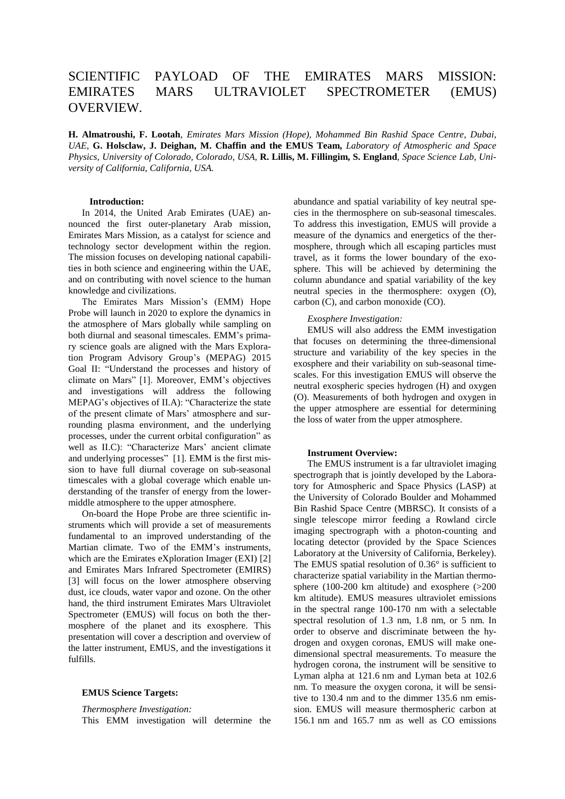# SCIENTIFIC PAYLOAD OF THE EMIRATES MARS MISSION: EMIRATES MARS ULTRAVIOLET SPECTROMETER (EMUS) OVERVIEW.

**H. Almatroushi, F. Lootah**, *Emirates Mars Mission (Hope), Mohammed Bin Rashid Space Centre, Dubai, UAE*, **G. Holsclaw, J. Deighan, M. Chaffin and the EMUS Team,** *Laboratory of Atmospheric and Space Physics, University of Colorado, Colorado, USA,* **R. Lillis, M. Fillingim, S. England***, Space Science Lab, University of California, California, USA.*

## **Introduction:**

In 2014, the United Arab Emirates (UAE) announced the first outer-planetary Arab mission, Emirates Mars Mission, as a catalyst for science and technology sector development within the region. The mission focuses on developing national capabilities in both science and engineering within the UAE, and on contributing with novel science to the human knowledge and civilizations.

The Emirates Mars Mission's (EMM) Hope Probe will launch in 2020 to explore the dynamics in the atmosphere of Mars globally while sampling on both diurnal and seasonal timescales. EMM's primary science goals are aligned with the Mars Exploration Program Advisory Group's (MEPAG) 2015 Goal II: "Understand the processes and history of climate on Mars" [1]. Moreover, EMM's objectives and investigations will address the following MEPAG's objectives of II.A): "Characterize the state of the present climate of Mars' atmosphere and surrounding plasma environment, and the underlying processes, under the current orbital configuration" as well as II.C): "Characterize Mars' ancient climate and underlying processes" [1]. EMM is the first mission to have full diurnal coverage on sub-seasonal timescales with a global coverage which enable understanding of the transfer of energy from the lowermiddle atmosphere to the upper atmosphere.

On-board the Hope Probe are three scientific instruments which will provide a set of measurements fundamental to an improved understanding of the Martian climate. Two of the EMM's instruments, which are the Emirates eXploration Imager (EXI) [2] and Emirates Mars Infrared Spectrometer (EMIRS) [3] will focus on the lower atmosphere observing dust, ice clouds, water vapor and ozone. On the other hand, the third instrument Emirates Mars Ultraviolet Spectrometer (EMUS) will focus on both the thermosphere of the planet and its exosphere. This presentation will cover a description and overview of the latter instrument, EMUS, and the investigations it fulfills.

#### **EMUS Science Targets:**

#### *Thermosphere Investigation:*

This EMM investigation will determine the

abundance and spatial variability of key neutral species in the thermosphere on sub-seasonal timescales. To address this investigation, EMUS will provide a measure of the dynamics and energetics of the thermosphere, through which all escaping particles must travel, as it forms the lower boundary of the exosphere. This will be achieved by determining the column abundance and spatial variability of the key neutral species in the thermosphere: oxygen (O), carbon (C), and carbon monoxide (CO).

## *Exosphere Investigation:*

EMUS will also address the EMM investigation that focuses on determining the three-dimensional structure and variability of the key species in the exosphere and their variability on sub-seasonal timescales. For this investigation EMUS will observe the neutral exospheric species hydrogen (H) and oxygen (O). Measurements of both hydrogen and oxygen in the upper atmosphere are essential for determining the loss of water from the upper atmosphere.

## **Instrument Overview:**

The EMUS instrument is a far ultraviolet imaging spectrograph that is jointly developed by the Laboratory for Atmospheric and Space Physics (LASP) at the University of Colorado Boulder and Mohammed Bin Rashid Space Centre (MBRSC). It consists of a single telescope mirror feeding a Rowland circle imaging spectrograph with a photon-counting and locating detector (provided by the Space Sciences Laboratory at the University of California, Berkeley). The EMUS spatial resolution of 0.36° is sufficient to characterize spatial variability in the Martian thermosphere (100-200 km altitude) and exosphere (>200 km altitude). EMUS measures ultraviolet emissions in the spectral range 100-170 nm with a selectable spectral resolution of 1.3 nm, 1.8 nm, or 5 nm. In order to observe and discriminate between the hydrogen and oxygen coronas, EMUS will make onedimensional spectral measurements. To measure the hydrogen corona, the instrument will be sensitive to Lyman alpha at 121.6 nm and Lyman beta at 102.6 nm. To measure the oxygen corona, it will be sensitive to 130.4 nm and to the dimmer 135.6 nm emission. EMUS will measure thermospheric carbon at 156.1 nm and 165.7 nm as well as CO emissions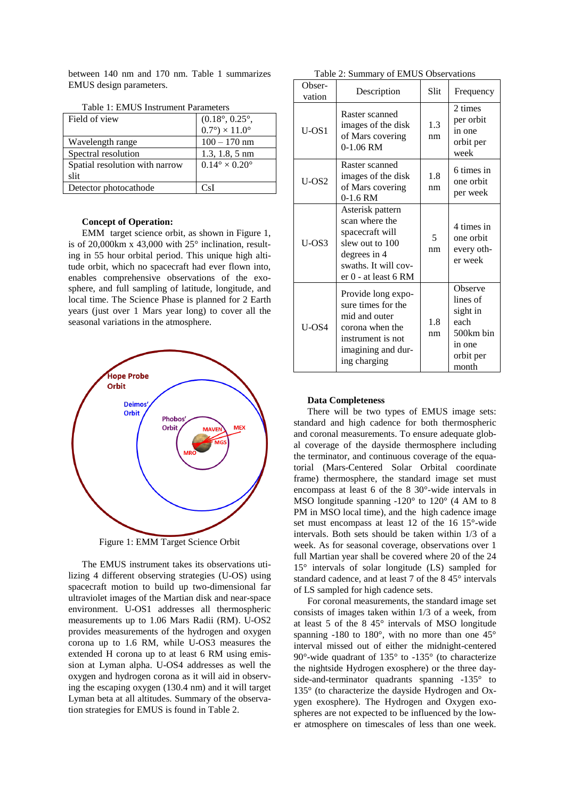between 140 nm and 170 nm. Table 1 summarizes EMUS design parameters.

| Table 1. EMUS Instrument Parameters |                                    |  |  |
|-------------------------------------|------------------------------------|--|--|
| Field of view                       | $(0.18^{\circ}, 0.25^{\circ},$     |  |  |
|                                     | $0.7^{\circ}$ ) × 11.0°            |  |  |
| Wavelength range                    | $100 - 170$ nm                     |  |  |
| Spectral resolution                 | $1.3, 1.8, 5 \text{ nm}$           |  |  |
| Spatial resolution with narrow      | $0.14^{\circ} \times 0.20^{\circ}$ |  |  |
| slit                                |                                    |  |  |
| Detector photocathode               | CsI                                |  |  |
|                                     |                                    |  |  |

Table 1: EMUS Instrument Parameters

#### **Concept of Operation:**

EMM target science orbit, as shown in Figure 1, is of 20,000km x 43,000 with 25° inclination, resulting in 55 hour orbital period. This unique high altitude orbit, which no spacecraft had ever flown into, enables comprehensive observations of the exosphere, and full sampling of latitude, longitude, and local time. The Science Phase is planned for 2 Earth years (just over 1 Mars year long) to cover all the seasonal variations in the atmosphere.



Figure 1: EMM Target Science Orbit

The EMUS instrument takes its observations utilizing 4 different observing strategies (U-OS) using spacecraft motion to build up two-dimensional far ultraviolet images of the Martian disk and near-space environment. U-OS1 addresses all thermospheric measurements up to 1.06 Mars Radii (RM). U-OS2 provides measurements of the hydrogen and oxygen corona up to 1.6 RM, while U-OS3 measures the extended H corona up to at least 6 RM using emission at Lyman alpha. U-OS4 addresses as well the oxygen and hydrogen corona as it will aid in observing the escaping oxygen (130.4 nm) and it will target Lyman beta at all altitudes. Summary of the observation strategies for EMUS is found in Table 2.

| Table 2: Summary of EMUS Observations |
|---------------------------------------|
|---------------------------------------|

| Obser-<br>vation | Description                                                                                                                              | Slit      | Frequency                                                                            |
|------------------|------------------------------------------------------------------------------------------------------------------------------------------|-----------|--------------------------------------------------------------------------------------|
| $U$ -OS1         | Raster scanned<br>images of the disk<br>of Mars covering<br>$0-1.06$ RM                                                                  | 1.3<br>nm | 2 times<br>per orbit<br>in one<br>orbit per<br>week                                  |
| $U$ -OS2         | Raster scanned<br>images of the disk<br>of Mars covering<br>$0-1.6$ RM                                                                   | 1.8<br>nm | 6 times in<br>one orbit<br>per week                                                  |
| $U$ -OS3         | Asterisk pattern<br>scan where the<br>spacecraft will<br>slew out to 100<br>degrees in 4<br>swaths. It will cov-<br>er 0 - at least 6 RM | 5<br>nm   | 4 times in<br>one orbit<br>every oth-<br>er week                                     |
| $U$ -OS4         | Provide long expo-<br>sure times for the<br>mid and outer<br>corona when the<br>instrument is not<br>imagining and dur-<br>ing charging  | 1.8<br>nm | Observe<br>lines of<br>sight in<br>each<br>500km bin<br>in one<br>orbit per<br>month |

## **Data Completeness**

There will be two types of EMUS image sets: standard and high cadence for both thermospheric and coronal measurements. To ensure adequate global coverage of the dayside thermosphere including the terminator, and continuous coverage of the equatorial (Mars-Centered Solar Orbital coordinate frame) thermosphere, the standard image set must encompass at least 6 of the 8 30°-wide intervals in MSO longitude spanning -120° to 120° (4 AM to 8 PM in MSO local time), and the high cadence image set must encompass at least 12 of the 16 15°-wide intervals. Both sets should be taken within 1/3 of a week. As for seasonal coverage, observations over 1 full Martian year shall be covered where 20 of the 24 15° intervals of solar longitude (LS) sampled for standard cadence, and at least 7 of the 8 45° intervals of LS sampled for high cadence sets.

For coronal measurements, the standard image set consists of images taken within 1/3 of a week, from at least 5 of the 8 45° intervals of MSO longitude spanning -180 to 180°, with no more than one 45° interval missed out of either the midnight-centered 90°-wide quadrant of 135° to -135° (to characterize the nightside Hydrogen exosphere) or the three dayside-and-terminator quadrants spanning -135° to 135° (to characterize the dayside Hydrogen and Oxygen exosphere). The Hydrogen and Oxygen exospheres are not expected to be influenced by the lower atmosphere on timescales of less than one week.